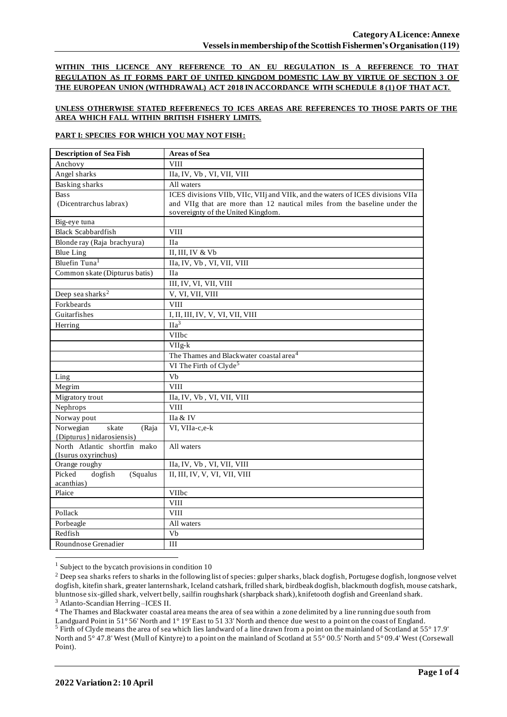**WITHIN THIS LICENCE ANY REFERENCE TO AN EU REGULATION IS A REFERENCE TO THAT REGULATION AS IT FORMS PART OF UNITED KINGDOM DOMESTIC LAW BY VIRTUE OF SECTION 3 OF THE EUROPEAN UNION (WITHDRAWAL) ACT 2018 IN ACCORDANCE WITH SCHEDULE 8 (1) OF THAT ACT.**

## **UNLESS OTHERWISE STATED REFERENECS TO ICES AREAS ARE REFERENCES TO THOSE PARTS OF THE AREA WHICH FALL WITHIN BRITISH FISHERY LIMITS.**

#### **PART I: SPECIES FOR WHICH YOU MAY NOT FISH:**

| <b>Description of Sea Fish</b>              | <b>Areas of Sea</b>                                                             |  |  |  |
|---------------------------------------------|---------------------------------------------------------------------------------|--|--|--|
| Anchovy                                     | <b>VIII</b>                                                                     |  |  |  |
| Angel sharks                                | IIa, IV, Vb, VI, VII, VIII                                                      |  |  |  |
| <b>Basking sharks</b>                       | All waters                                                                      |  |  |  |
| <b>Bass</b>                                 | ICES divisions VIIb, VIIc, VIIj and VIIk, and the waters of ICES divisions VIIa |  |  |  |
| (Dicentrarchus labrax)                      | and VIIg that are more than 12 nautical miles from the baseline under the       |  |  |  |
|                                             | sovereignty of the United Kingdom.                                              |  |  |  |
| Big-eye tuna                                |                                                                                 |  |  |  |
| <b>Black Scabbardfish</b>                   | <b>VIII</b>                                                                     |  |  |  |
| Blonde ray (Raja brachyura)                 | <b>IIa</b>                                                                      |  |  |  |
| <b>Blue Ling</b>                            | II, III, IV & Vb                                                                |  |  |  |
| Bluefin Tuna <sup>1</sup>                   | IIa, IV, Vb, VI, VII, VIII                                                      |  |  |  |
| Common skate (Dipturus batis)               | <b>IIa</b>                                                                      |  |  |  |
|                                             | III, IV, VI, VII, VIII                                                          |  |  |  |
| Deep sea sharks <sup>2</sup>                | V, VI, VII, VIII                                                                |  |  |  |
| Forkbeards                                  | <b>VIII</b>                                                                     |  |  |  |
| Guitarfishes                                | I, II, III, IV, V, VI, VII, VIII                                                |  |  |  |
| Herring                                     | $\overline{Ha^3}$                                                               |  |  |  |
|                                             | VIIbc                                                                           |  |  |  |
|                                             | $VIIg-k$                                                                        |  |  |  |
|                                             | The Thames and Blackwater coastal area <sup>4</sup>                             |  |  |  |
|                                             | VI The Firth of Clyde <sup>5</sup>                                              |  |  |  |
| Ling                                        | Vb                                                                              |  |  |  |
| Megrim                                      | <b>VIII</b>                                                                     |  |  |  |
| Migratory trout                             | IIa, IV, Vb, VI, VII, VIII                                                      |  |  |  |
| Nephrops                                    | <b>VIII</b>                                                                     |  |  |  |
| Norway pout                                 | IIa & IV                                                                        |  |  |  |
| Norwegian<br>skate<br>(Raja                 | VI, VIIa-c,e-k                                                                  |  |  |  |
| {Dipturus} nidarosiensis)                   |                                                                                 |  |  |  |
| North Atlantic shortfin mako                | All waters                                                                      |  |  |  |
| (Isurus oxyrinchus)                         |                                                                                 |  |  |  |
| Orange roughy                               | IIa, IV, Vb, VI, VII, VIII                                                      |  |  |  |
| Picked<br>dogfish<br>(Squalus<br>acanthias) | II, III, IV, V, VI, VII, VIII                                                   |  |  |  |
| Plaice                                      | VIIbc                                                                           |  |  |  |
|                                             | <b>VIII</b>                                                                     |  |  |  |
| Pollack                                     | <b>VIII</b>                                                                     |  |  |  |
| Porbeagle                                   | All waters                                                                      |  |  |  |
| Redfish                                     | Vb                                                                              |  |  |  |
|                                             |                                                                                 |  |  |  |
| Roundnose Grenadier                         | $\rm III$                                                                       |  |  |  |

 $1$  Subject to the bycatch provisions in condition 10

<sup>3</sup> Atlanto-Scandian Herring –ICES II.

<sup>4</sup> The Thames and Blackwater coastal area means the area of sea within a zone delimited by a line running due south from Landguard Point in 51° 56' North and 1° 19' East to 51 33' North and thence due west to a point on the coast of England. <sup>5</sup> Firth of Clyde means the area of sea which lies landward of a line drawn from a point on the mainland of Scotland at 55° 17.9' North and 5° 47.8' West (Mull of Kintyre) to a point on the mainland of Scotland at 55° 00.5' North and 5° 09.4' West (Corsewall Point).

<sup>&</sup>lt;sup>2</sup> Deep sea sharks refers to sharks in the following list of species: gulper sharks, black dogfish, Portugese dogfish, longnose velvet dogfish, kitefin shark, greater lanternshark, Iceland catshark, frilled shark, birdbeak dogfish, blackmouth dogfish, mouse catshark, bluntnose six-gilled shark, velvert belly, sailfin roughshark (sharpback shark), knifetooth dogfish and Greenland shark.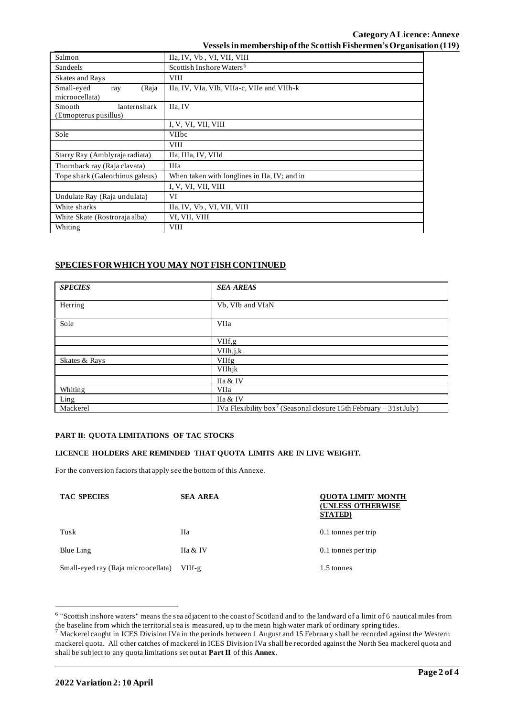| Salmon                                          | IIa, IV, Vb, VI, VII, VIII                   |  |
|-------------------------------------------------|----------------------------------------------|--|
| Sandeels                                        | Scottish Inshore Waters <sup>6</sup>         |  |
| <b>Skates and Rays</b>                          | <b>VIII</b>                                  |  |
| Small-eyed<br>(Raja<br>ray<br>microocellata)    | IIa, IV, VIa, VIb, VIIa-c, VIIe and VIIh-k   |  |
| lanternshark<br>Smooth<br>(Etmopterus pusillus) | IIa, IV                                      |  |
|                                                 | I, V, VI, VII, VIII                          |  |
| Sole                                            | <b>VIIbc</b>                                 |  |
|                                                 | <b>VIII</b>                                  |  |
| Starry Ray (Amblyraja radiata)                  | IIa, IIIa, IV, VIId                          |  |
| Thornback ray (Raja clavata)                    | <b>IIIa</b>                                  |  |
| Tope shark (Galeorhinus galeus)                 | When taken with longlines in IIa, IV; and in |  |
|                                                 | I, V, VI, VII, VIII                          |  |
| Undulate Ray (Raja undulata)                    | VI                                           |  |
| White sharks                                    | IIa, IV, Vb, VI, VII, VIII                   |  |
| White Skate (Rostroraja alba)                   | VI, VII, VIII                                |  |
| Whiting                                         | <b>VIII</b>                                  |  |

# **SPECIES FOR WHICH YOU MAY NOT FISH CONTINUED**

| <b>SPECIES</b> | <b>SEA AREAS</b>                                                              |
|----------------|-------------------------------------------------------------------------------|
| Herring        | Vb, VIb and VIaN                                                              |
| Sole           | VIIa                                                                          |
|                | VIIf,g                                                                        |
|                | VIIh, j, k                                                                    |
| Skates & Rays  | <b>VIIfg</b>                                                                  |
|                | VIIhjk                                                                        |
|                | IIa & IV                                                                      |
| Whiting        | <b>VIIa</b>                                                                   |
| Ling           | IIa & IV                                                                      |
| Mackerel       | IVa Flexibility box <sup>7</sup> (Seasonal closure 15th February – 31st July) |

#### **PART II: QUOTA LIMITATIONS OF TAC STOCKS**

## **LICENCE HOLDERS ARE REMINDED THAT QUOTA LIMITS ARE IN LIVE WEIGHT.**

For the conversion factors that apply see the bottom of this Annexe.

| <b>TAC SPECIES</b>                  | <b>SEA AREA</b>                                                                                                                                                                                                                                                                                                                                                                                                                        | <b>OUOTA LIMIT/ MONTH</b><br><b>(UNLESS OTHERWISE</b><br><b>STATED</b> ) |
|-------------------------------------|----------------------------------------------------------------------------------------------------------------------------------------------------------------------------------------------------------------------------------------------------------------------------------------------------------------------------------------------------------------------------------------------------------------------------------------|--------------------------------------------------------------------------|
| Tusk                                | Пa                                                                                                                                                                                                                                                                                                                                                                                                                                     | 0.1 tonnes per trip                                                      |
| Blue Ling                           | <b>Ha &amp; IV</b>                                                                                                                                                                                                                                                                                                                                                                                                                     | 0.1 tonnes per trip                                                      |
| Small-eyed ray (Raja microocellata) | $V\left\langle \right.$ $\left. \right.$ $\left. \right.$ $\left. \right.$ $\left. \right.$ $\left. \right.$ $\left. \right.$ $\left. \right.$ $\left. \right.$ $\left. \right.$ $\left. \right.$ $\left. \right.$ $\left. \right.$ $\left. \right.$ $\left. \right.$ $\left. \right.$ $\left. \right.$ $\left. \right.$ $\left. \right.$ $\left. \right.$ $\left. \right.$ $\left. \right.$ $\left. \right.$ $\left. \right.$ $\left$ | 1.5 tonnes                                                               |

<sup>&</sup>lt;sup>6</sup> "Scottish inshore waters" means the sea adjacent to the coast of Scotland and to the landward of a limit of 6 nautical miles from the baseline from which the territorial sea is measured, up to the mean high water mark of ordinary spring tides.

 $^7$  Mackerel caught in ICES Division IVa in the periods between 1 August and 15 February shall be recorded against the Western mackerel quota. All other catches of mackerel in ICES Division IVa shall be recorded against the North Sea mackerel quota and shall be subject to any quota limitations set out at **Part II** of this **Annex**.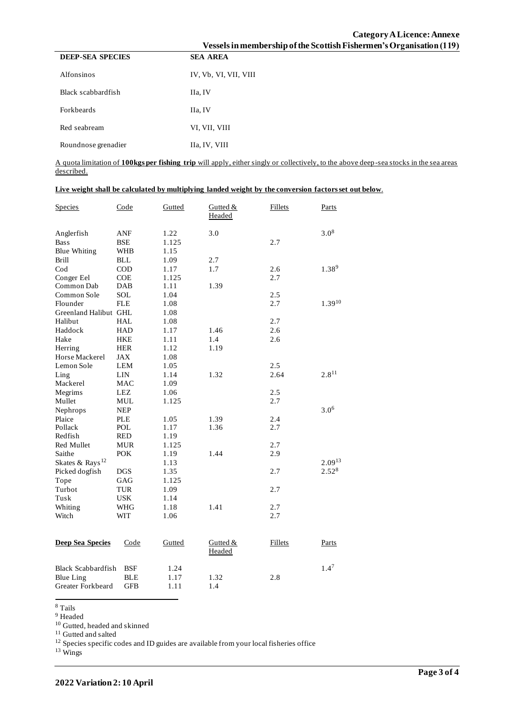# **Category ALicence: Annexe Vessels in membership of the Scottish Fishermen's Organisation (119)**

|                         | , CBBC18 111 111 C11  |
|-------------------------|-----------------------|
| <b>DEEP-SEA SPECIES</b> | <b>SEA AREA</b>       |
| Alfonsinos              | IV, Vb, VI, VII, VIII |
| Black scabbardfish      | IIa, IV               |
| <b>Forkheards</b>       | IIa, IV               |
| Red seabream            | VI, VII, VIII         |
| Roundnose grenadier     | IIa, IV, VIII         |

A quota limitation of **100kgs per fishing trip** will apply, either singly or collectively, to the above deep-sea stocks in the sea areas described.

| Live weight shall be calculated by multiplying landed weight by the conversion factors set out below. |
|-------------------------------------------------------------------------------------------------------|
|-------------------------------------------------------------------------------------------------------|

| <b>Species</b>              | Code       | Gutted | Gutted &<br>Headed | <b>Fillets</b> | <b>Parts</b> |
|-----------------------------|------------|--------|--------------------|----------------|--------------|
| Anglerfish                  | ANF        | 1.22   | 3.0                |                | $3.0^{8}$    |
| <b>Bass</b>                 | <b>BSE</b> | 1.125  |                    | 2.7            |              |
| <b>Blue Whiting</b>         | <b>WHB</b> | 1.15   |                    |                |              |
| <b>Brill</b>                | <b>BLL</b> | 1.09   | 2.7                |                |              |
| $\mathrm{Cod}$              | <b>COD</b> | 1.17   | 1.7                | 2.6            | $1.38^{9}$   |
| Conger Eel                  | <b>COE</b> | 1.125  |                    | 2.7            |              |
| Common Dab                  | DAB        | 1.11   | 1.39               |                |              |
| Common Sole                 | SOL        | 1.04   |                    | 2.5            |              |
| Flounder                    | <b>FLE</b> | 1.08   |                    | 2.7            | $1.39^{10}$  |
| Greenland Halibut GHL       |            | 1.08   |                    |                |              |
| Halibut                     | HAL        | 1.08   |                    | 2.7            |              |
| Haddock                     | HAD        | 1.17   | 1.46               | 2.6            |              |
| Hake                        | <b>HKE</b> | 1.11   | 1.4                | 2.6            |              |
| Herring                     | HER        | 1.12   | 1.19               |                |              |
| Horse Mackerel              | JAX        | 1.08   |                    |                |              |
| Lemon Sole                  | LEM        | 1.05   |                    | 2.5            |              |
| Ling                        | LIN        | 1.14   | 1.32               | 2.64           | $2.8^{11}$   |
| Mackerel                    | MAC        | 1.09   |                    |                |              |
| Megrims                     | <b>LEZ</b> | 1.06   |                    | 2.5            |              |
| Mullet                      | <b>MUL</b> | 1.125  |                    | 2.7            |              |
| Nephrops                    | NEP        |        |                    |                | $3.0^{6}$    |
| Plaice                      | <b>PLE</b> | 1.05   | 1.39               | 2.4            |              |
| Pollack                     | <b>POL</b> | 1.17   | 1.36               | 2.7            |              |
| Redfish                     | <b>RED</b> | 1.19   |                    |                |              |
| Red Mullet                  | <b>MUR</b> | 1.125  |                    | 2.7            |              |
| Saithe                      | <b>POK</b> | 1.19   | 1.44               | 2.9            |              |
| Skates & Rays <sup>12</sup> |            | 1.13   |                    |                | $2.09^{13}$  |
| Picked dogfish              | <b>DGS</b> | 1.35   |                    | 2.7            | $2.52^{8}$   |
| Tope                        | GAG        | 1.125  |                    |                |              |
| Turbot                      | TUR        | 1.09   |                    | 2.7            |              |
| Tusk                        | <b>USK</b> | 1.14   |                    |                |              |
| Whiting                     | <b>WHG</b> | 1.18   | 1.41               | 2.7            |              |
| Witch                       | WIT        | 1.06   |                    | 2.7            |              |
| <b>Deep Sea Species</b>     | Code       | Gutted | Gutted &<br>Headed | <b>Fillets</b> | Parts        |
| <b>Black Scabbardfish</b>   | <b>BSF</b> | 1.24   |                    |                | $1.4^7$      |
| Blue Ling                   | <b>BLE</b> | 1.17   | 1.32               | 2.8            |              |
| Greater Forkbeard           | <b>GFB</b> | 1.11   | 1.4                |                |              |

<sup>8</sup> Tails

<sup>9</sup> Headed

<sup>10</sup> Gutted, headed and skinned

<sup>11</sup> Gutted and salted

 $12$  Species specific codes and ID guides are available from your local fisheries office

<sup>13</sup> Wings